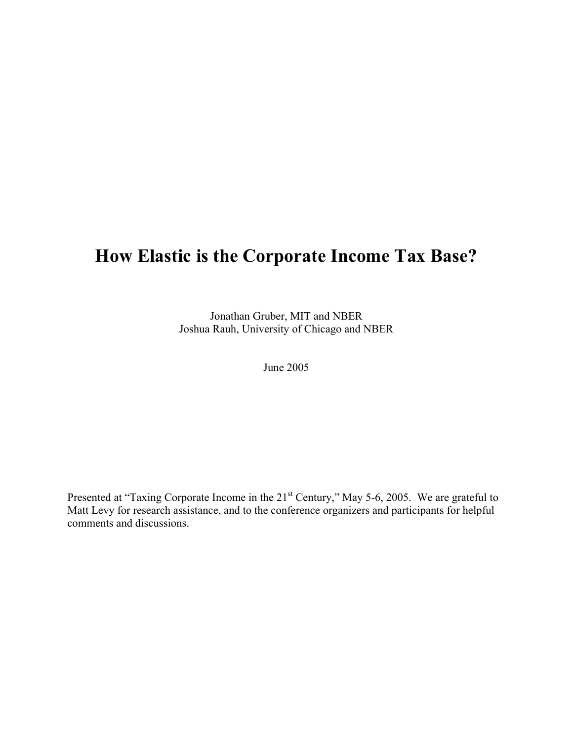# **How Elastic is the Corporate Income Tax Base?**

Jonathan Gruber, MIT and NBER Joshua Rauh, University of Chicago and NBER

June 2005

Presented at "Taxing Corporate Income in the 21<sup>st</sup> Century," May 5-6, 2005. We are grateful to Matt Levy for research assistance, and to the conference organizers and participants for helpful comments and discussions.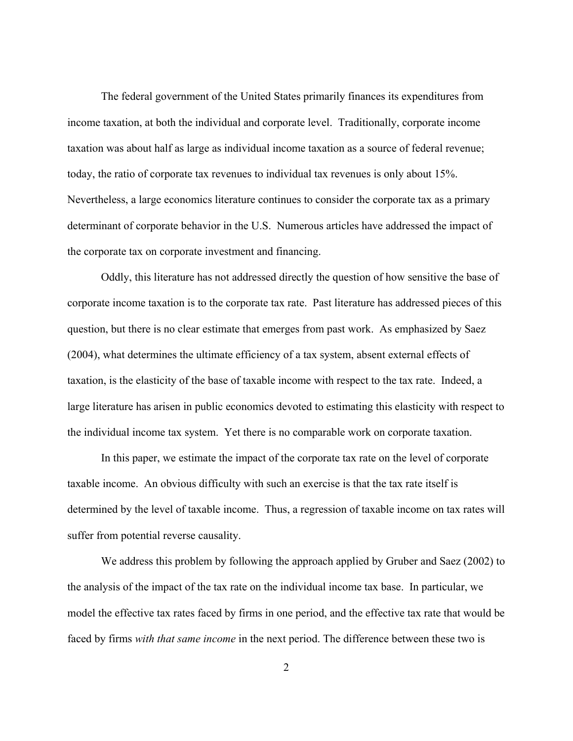The federal government of the United States primarily finances its expenditures from income taxation, at both the individual and corporate level. Traditionally, corporate income taxation was about half as large as individual income taxation as a source of federal revenue; today, the ratio of corporate tax revenues to individual tax revenues is only about 15%. Nevertheless, a large economics literature continues to consider the corporate tax as a primary determinant of corporate behavior in the U.S. Numerous articles have addressed the impact of the corporate tax on corporate investment and financing.

 Oddly, this literature has not addressed directly the question of how sensitive the base of corporate income taxation is to the corporate tax rate. Past literature has addressed pieces of this question, but there is no clear estimate that emerges from past work. As emphasized by Saez (2004), what determines the ultimate efficiency of a tax system, absent external effects of taxation, is the elasticity of the base of taxable income with respect to the tax rate. Indeed, a large literature has arisen in public economics devoted to estimating this elasticity with respect to the individual income tax system. Yet there is no comparable work on corporate taxation.

 In this paper, we estimate the impact of the corporate tax rate on the level of corporate taxable income. An obvious difficulty with such an exercise is that the tax rate itself is determined by the level of taxable income. Thus, a regression of taxable income on tax rates will suffer from potential reverse causality.

 We address this problem by following the approach applied by Gruber and Saez (2002) to the analysis of the impact of the tax rate on the individual income tax base. In particular, we model the effective tax rates faced by firms in one period, and the effective tax rate that would be faced by firms *with that same income* in the next period. The difference between these two is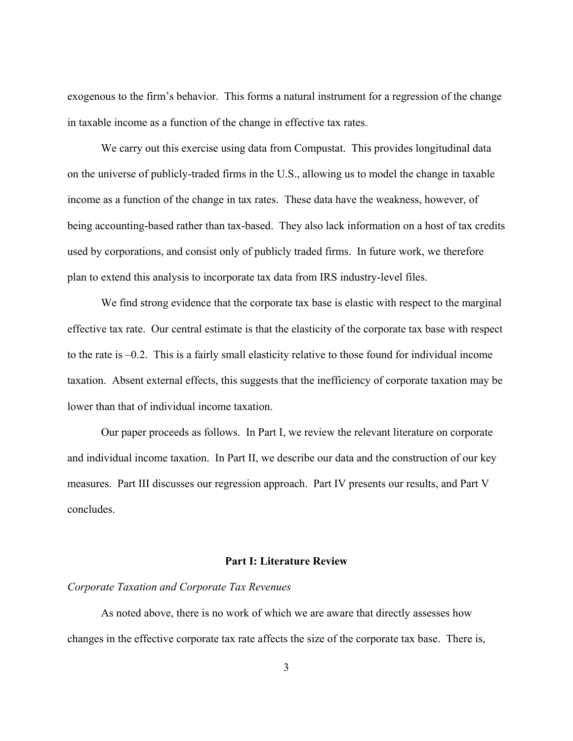exogenous to the firm's behavior. This forms a natural instrument for a regression of the change in taxable income as a function of the change in effective tax rates.

 We carry out this exercise using data from Compustat. This provides longitudinal data on the universe of publicly-traded firms in the U.S., allowing us to model the change in taxable income as a function of the change in tax rates. These data have the weakness, however, of being accounting-based rather than tax-based. They also lack information on a host of tax credits used by corporations, and consist only of publicly traded firms. In future work, we therefore plan to extend this analysis to incorporate tax data from IRS industry-level files.

 We find strong evidence that the corporate tax base is elastic with respect to the marginal effective tax rate. Our central estimate is that the elasticity of the corporate tax base with respect to the rate is –0.2. This is a fairly small elasticity relative to those found for individual income taxation. Absent external effects, this suggests that the inefficiency of corporate taxation may be lower than that of individual income taxation.

 Our paper proceeds as follows. In Part I, we review the relevant literature on corporate and individual income taxation. In Part II, we describe our data and the construction of our key measures. Part III discusses our regression approach. Part IV presents our results, and Part V concludes.

#### **Part I: Literature Review**

## *Corporate Taxation and Corporate Tax Revenues*

 As noted above, there is no work of which we are aware that directly assesses how changes in the effective corporate tax rate affects the size of the corporate tax base. There is,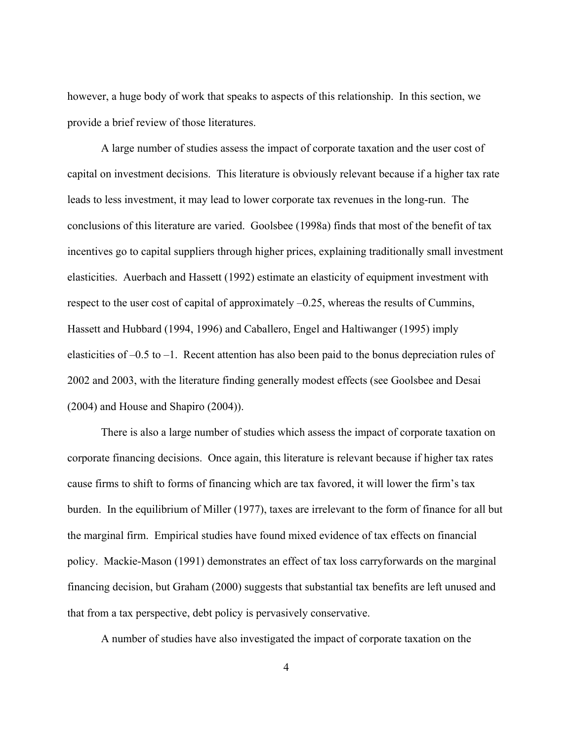however, a huge body of work that speaks to aspects of this relationship. In this section, we provide a brief review of those literatures.

A large number of studies assess the impact of corporate taxation and the user cost of capital on investment decisions. This literature is obviously relevant because if a higher tax rate leads to less investment, it may lead to lower corporate tax revenues in the long-run. The conclusions of this literature are varied. Goolsbee (1998a) finds that most of the benefit of tax incentives go to capital suppliers through higher prices, explaining traditionally small investment elasticities. Auerbach and Hassett (1992) estimate an elasticity of equipment investment with respect to the user cost of capital of approximately –0.25, whereas the results of Cummins, Hassett and Hubbard (1994, 1996) and Caballero, Engel and Haltiwanger (1995) imply elasticities of –0.5 to –1. Recent attention has also been paid to the bonus depreciation rules of 2002 and 2003, with the literature finding generally modest effects (see Goolsbee and Desai (2004) and House and Shapiro (2004)).

 There is also a large number of studies which assess the impact of corporate taxation on corporate financing decisions. Once again, this literature is relevant because if higher tax rates cause firms to shift to forms of financing which are tax favored, it will lower the firm's tax burden. In the equilibrium of Miller (1977), taxes are irrelevant to the form of finance for all but the marginal firm. Empirical studies have found mixed evidence of tax effects on financial policy. Mackie-Mason (1991) demonstrates an effect of tax loss carryforwards on the marginal financing decision, but Graham (2000) suggests that substantial tax benefits are left unused and that from a tax perspective, debt policy is pervasively conservative.

A number of studies have also investigated the impact of corporate taxation on the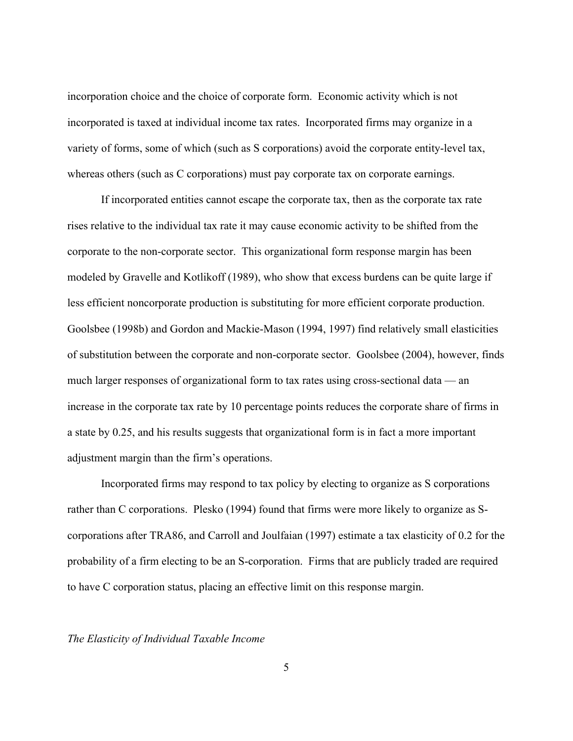incorporation choice and the choice of corporate form. Economic activity which is not incorporated is taxed at individual income tax rates. Incorporated firms may organize in a variety of forms, some of which (such as S corporations) avoid the corporate entity-level tax, whereas others (such as C corporations) must pay corporate tax on corporate earnings.

If incorporated entities cannot escape the corporate tax, then as the corporate tax rate rises relative to the individual tax rate it may cause economic activity to be shifted from the corporate to the non-corporate sector. This organizational form response margin has been modeled by Gravelle and Kotlikoff (1989), who show that excess burdens can be quite large if less efficient noncorporate production is substituting for more efficient corporate production. Goolsbee (1998b) and Gordon and Mackie-Mason (1994, 1997) find relatively small elasticities of substitution between the corporate and non-corporate sector. Goolsbee (2004), however, finds much larger responses of organizational form to tax rates using cross-sectional data — an increase in the corporate tax rate by 10 percentage points reduces the corporate share of firms in a state by 0.25, and his results suggests that organizational form is in fact a more important adjustment margin than the firm's operations.

Incorporated firms may respond to tax policy by electing to organize as S corporations rather than C corporations. Plesko (1994) found that firms were more likely to organize as Scorporations after TRA86, and Carroll and Joulfaian (1997) estimate a tax elasticity of 0.2 for the probability of a firm electing to be an S-corporation. Firms that are publicly traded are required to have C corporation status, placing an effective limit on this response margin.

# *The Elasticity of Individual Taxable Income*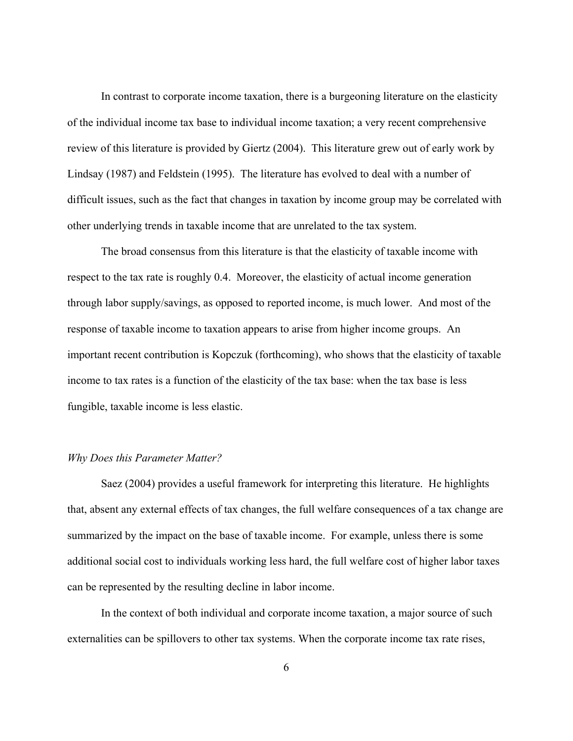In contrast to corporate income taxation, there is a burgeoning literature on the elasticity of the individual income tax base to individual income taxation; a very recent comprehensive review of this literature is provided by Giertz (2004). This literature grew out of early work by Lindsay (1987) and Feldstein (1995). The literature has evolved to deal with a number of difficult issues, such as the fact that changes in taxation by income group may be correlated with other underlying trends in taxable income that are unrelated to the tax system.

 The broad consensus from this literature is that the elasticity of taxable income with respect to the tax rate is roughly 0.4. Moreover, the elasticity of actual income generation through labor supply/savings, as opposed to reported income, is much lower. And most of the response of taxable income to taxation appears to arise from higher income groups. An important recent contribution is Kopczuk (forthcoming), who shows that the elasticity of taxable income to tax rates is a function of the elasticity of the tax base: when the tax base is less fungible, taxable income is less elastic.

# *Why Does this Parameter Matter?*

 Saez (2004) provides a useful framework for interpreting this literature. He highlights that, absent any external effects of tax changes, the full welfare consequences of a tax change are summarized by the impact on the base of taxable income. For example, unless there is some additional social cost to individuals working less hard, the full welfare cost of higher labor taxes can be represented by the resulting decline in labor income.

 In the context of both individual and corporate income taxation, a major source of such externalities can be spillovers to other tax systems. When the corporate income tax rate rises,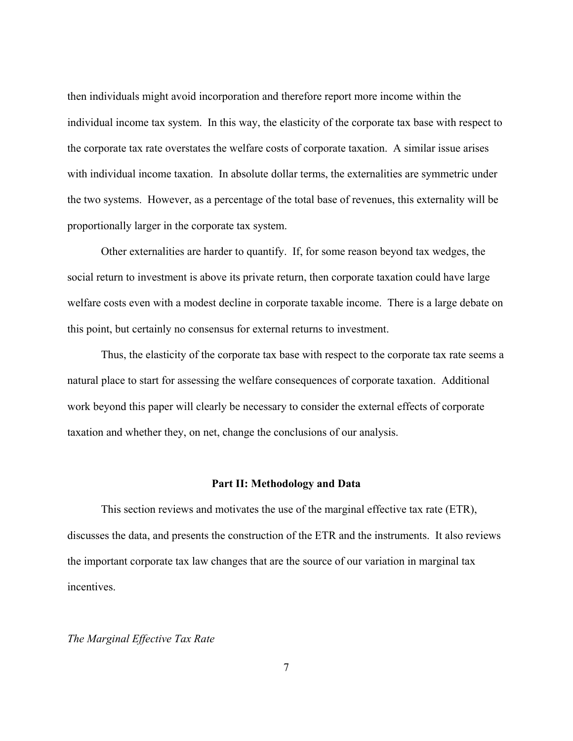then individuals might avoid incorporation and therefore report more income within the individual income tax system. In this way, the elasticity of the corporate tax base with respect to the corporate tax rate overstates the welfare costs of corporate taxation. A similar issue arises with individual income taxation. In absolute dollar terms, the externalities are symmetric under the two systems. However, as a percentage of the total base of revenues, this externality will be proportionally larger in the corporate tax system.

 Other externalities are harder to quantify. If, for some reason beyond tax wedges, the social return to investment is above its private return, then corporate taxation could have large welfare costs even with a modest decline in corporate taxable income. There is a large debate on this point, but certainly no consensus for external returns to investment.

 Thus, the elasticity of the corporate tax base with respect to the corporate tax rate seems a natural place to start for assessing the welfare consequences of corporate taxation. Additional work beyond this paper will clearly be necessary to consider the external effects of corporate taxation and whether they, on net, change the conclusions of our analysis.

# **Part II: Methodology and Data**

This section reviews and motivates the use of the marginal effective tax rate (ETR), discusses the data, and presents the construction of the ETR and the instruments. It also reviews the important corporate tax law changes that are the source of our variation in marginal tax incentives.

# *The Marginal Effective Tax Rate*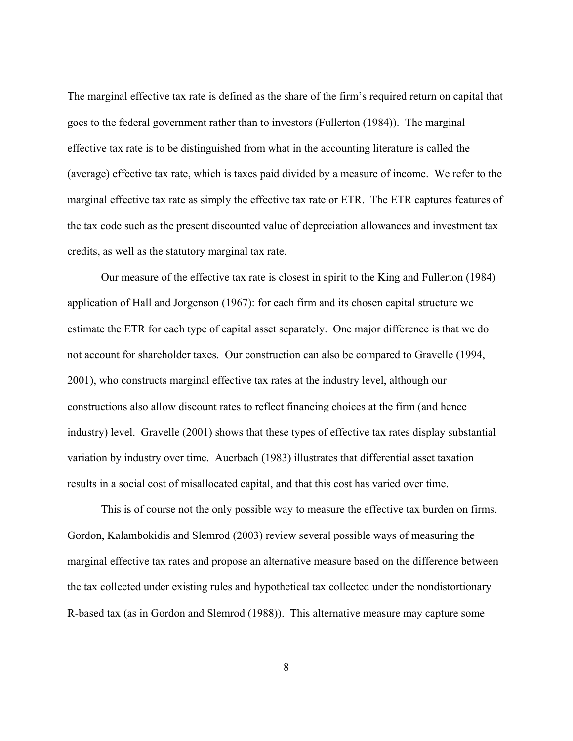The marginal effective tax rate is defined as the share of the firm's required return on capital that goes to the federal government rather than to investors (Fullerton (1984)). The marginal effective tax rate is to be distinguished from what in the accounting literature is called the (average) effective tax rate, which is taxes paid divided by a measure of income. We refer to the marginal effective tax rate as simply the effective tax rate or ETR. The ETR captures features of the tax code such as the present discounted value of depreciation allowances and investment tax credits, as well as the statutory marginal tax rate.

Our measure of the effective tax rate is closest in spirit to the King and Fullerton (1984) application of Hall and Jorgenson (1967): for each firm and its chosen capital structure we estimate the ETR for each type of capital asset separately. One major difference is that we do not account for shareholder taxes. Our construction can also be compared to Gravelle (1994, 2001), who constructs marginal effective tax rates at the industry level, although our constructions also allow discount rates to reflect financing choices at the firm (and hence industry) level. Gravelle (2001) shows that these types of effective tax rates display substantial variation by industry over time. Auerbach (1983) illustrates that differential asset taxation results in a social cost of misallocated capital, and that this cost has varied over time.

This is of course not the only possible way to measure the effective tax burden on firms. Gordon, Kalambokidis and Slemrod (2003) review several possible ways of measuring the marginal effective tax rates and propose an alternative measure based on the difference between the tax collected under existing rules and hypothetical tax collected under the nondistortionary R-based tax (as in Gordon and Slemrod (1988)). This alternative measure may capture some

8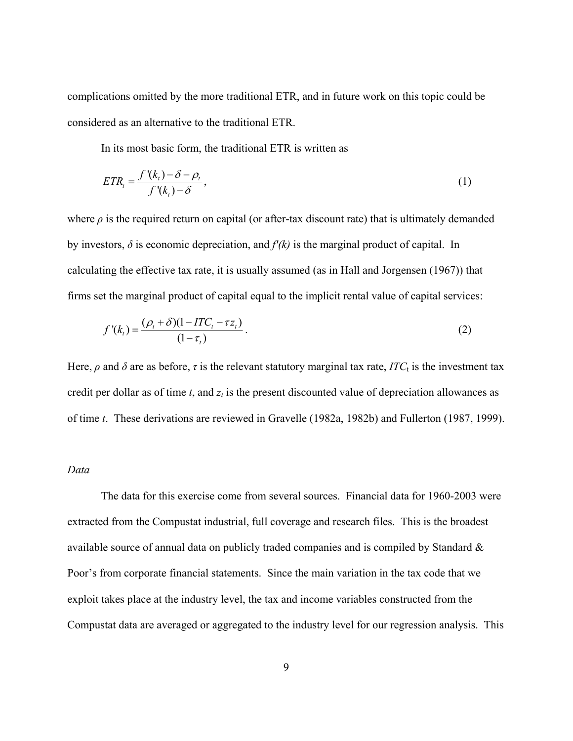complications omitted by the more traditional ETR, and in future work on this topic could be considered as an alternative to the traditional ETR.

In its most basic form, the traditional ETR is written as

$$
ETR_t = \frac{f'(k_t) - \delta - \rho_t}{f'(k_t) - \delta},\tag{1}
$$

where  $\rho$  is the required return on capital (or after-tax discount rate) that is ultimately demanded by investors,  $\delta$  is economic depreciation, and  $f'(k)$  is the marginal product of capital. In calculating the effective tax rate, it is usually assumed (as in Hall and Jorgensen (1967)) that firms set the marginal product of capital equal to the implicit rental value of capital services:

$$
f'(k_t) = \frac{(\rho_t + \delta)(1 - ITC_t - \tau z_t)}{(1 - \tau_t)}.
$$
\n(2)

Here,  $\rho$  and  $\delta$  are as before,  $\tau$  is the relevant statutory marginal tax rate, *ITC*<sub>t</sub> is the investment tax credit per dollar as of time  $t$ , and  $z<sub>t</sub>$  is the present discounted value of depreciation allowances as of time *t*. These derivations are reviewed in Gravelle (1982a, 1982b) and Fullerton (1987, 1999).

#### *Data*

The data for this exercise come from several sources. Financial data for 1960-2003 were extracted from the Compustat industrial, full coverage and research files. This is the broadest available source of annual data on publicly traded companies and is compiled by Standard & Poor's from corporate financial statements. Since the main variation in the tax code that we exploit takes place at the industry level, the tax and income variables constructed from the Compustat data are averaged or aggregated to the industry level for our regression analysis. This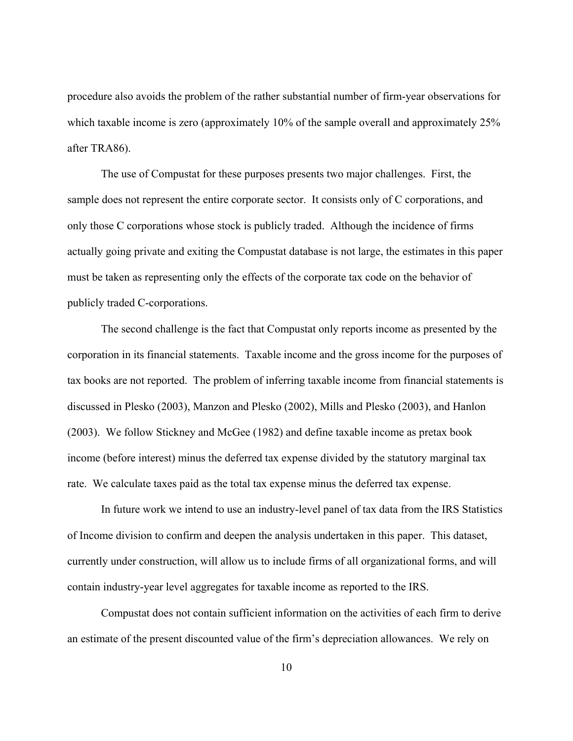procedure also avoids the problem of the rather substantial number of firm-year observations for which taxable income is zero (approximately 10% of the sample overall and approximately 25% after TRA86).

The use of Compustat for these purposes presents two major challenges. First, the sample does not represent the entire corporate sector. It consists only of C corporations, and only those C corporations whose stock is publicly traded. Although the incidence of firms actually going private and exiting the Compustat database is not large, the estimates in this paper must be taken as representing only the effects of the corporate tax code on the behavior of publicly traded C-corporations.

The second challenge is the fact that Compustat only reports income as presented by the corporation in its financial statements. Taxable income and the gross income for the purposes of tax books are not reported. The problem of inferring taxable income from financial statements is discussed in Plesko (2003), Manzon and Plesko (2002), Mills and Plesko (2003), and Hanlon (2003). We follow Stickney and McGee (1982) and define taxable income as pretax book income (before interest) minus the deferred tax expense divided by the statutory marginal tax rate. We calculate taxes paid as the total tax expense minus the deferred tax expense.

In future work we intend to use an industry-level panel of tax data from the IRS Statistics of Income division to confirm and deepen the analysis undertaken in this paper. This dataset, currently under construction, will allow us to include firms of all organizational forms, and will contain industry-year level aggregates for taxable income as reported to the IRS.

Compustat does not contain sufficient information on the activities of each firm to derive an estimate of the present discounted value of the firm's depreciation allowances. We rely on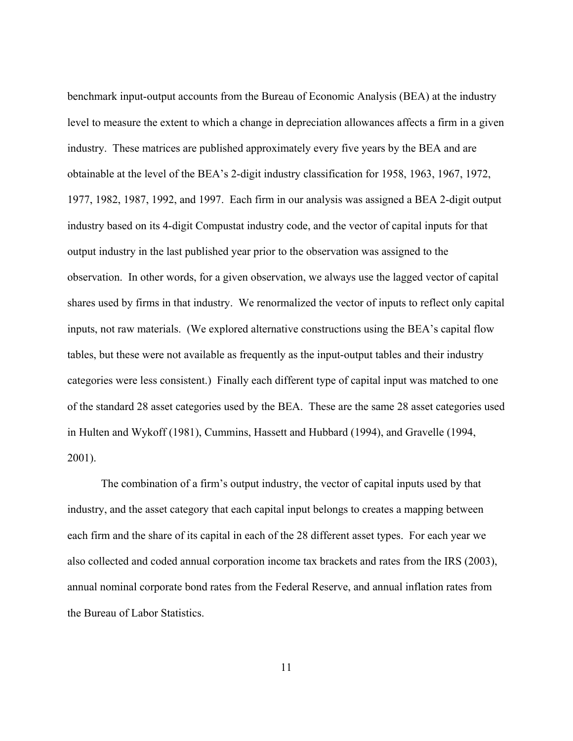benchmark input-output accounts from the Bureau of Economic Analysis (BEA) at the industry level to measure the extent to which a change in depreciation allowances affects a firm in a given industry. These matrices are published approximately every five years by the BEA and are obtainable at the level of the BEA's 2-digit industry classification for 1958, 1963, 1967, 1972, 1977, 1982, 1987, 1992, and 1997. Each firm in our analysis was assigned a BEA 2-digit output industry based on its 4-digit Compustat industry code, and the vector of capital inputs for that output industry in the last published year prior to the observation was assigned to the observation. In other words, for a given observation, we always use the lagged vector of capital shares used by firms in that industry. We renormalized the vector of inputs to reflect only capital inputs, not raw materials. (We explored alternative constructions using the BEA's capital flow tables, but these were not available as frequently as the input-output tables and their industry categories were less consistent.) Finally each different type of capital input was matched to one of the standard 28 asset categories used by the BEA. These are the same 28 asset categories used in Hulten and Wykoff (1981), Cummins, Hassett and Hubbard (1994), and Gravelle (1994, 2001).

The combination of a firm's output industry, the vector of capital inputs used by that industry, and the asset category that each capital input belongs to creates a mapping between each firm and the share of its capital in each of the 28 different asset types. For each year we also collected and coded annual corporation income tax brackets and rates from the IRS (2003), annual nominal corporate bond rates from the Federal Reserve, and annual inflation rates from the Bureau of Labor Statistics.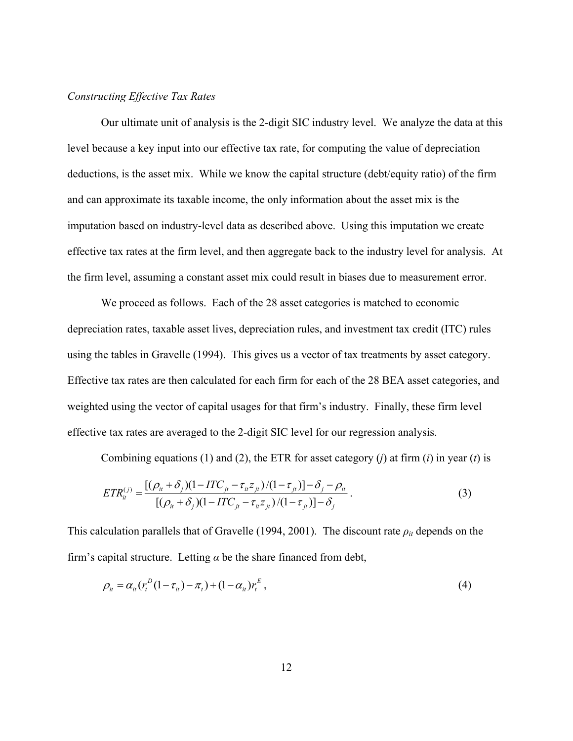#### *Constructing Effective Tax Rates*

Our ultimate unit of analysis is the 2-digit SIC industry level. We analyze the data at this level because a key input into our effective tax rate, for computing the value of depreciation deductions, is the asset mix. While we know the capital structure (debt/equity ratio) of the firm and can approximate its taxable income, the only information about the asset mix is the imputation based on industry-level data as described above. Using this imputation we create effective tax rates at the firm level, and then aggregate back to the industry level for analysis. At the firm level, assuming a constant asset mix could result in biases due to measurement error.

We proceed as follows. Each of the 28 asset categories is matched to economic depreciation rates, taxable asset lives, depreciation rules, and investment tax credit (ITC) rules using the tables in Gravelle (1994). This gives us a vector of tax treatments by asset category. Effective tax rates are then calculated for each firm for each of the 28 BEA asset categories, and weighted using the vector of capital usages for that firm's industry. Finally, these firm level effective tax rates are averaged to the 2-digit SIC level for our regression analysis.

Combining equations (1) and (2), the ETR for asset category (*j*) at firm (*i*) in year (*t*) is

$$
ETR_{it}^{(j)} = \frac{[(\rho_{it} + \delta_j)(1 - ITC_{jt} - \tau_{it}z_{jt})/(1 - \tau_{jt})] - \delta_j - \rho_{it}}{[(\rho_{it} + \delta_j)(1 - ITC_{jt} - \tau_{it}z_{jt})/(1 - \tau_{jt})] - \delta_j}.
$$
\n(3)

This calculation parallels that of Gravelle (1994, 2001). The discount rate  $\rho_{it}$  depends on the firm's capital structure. Letting  $\alpha$  be the share financed from debt,

$$
\rho_{it} = \alpha_{it}(r_i^D (1 - \tau_{it}) - \pi_t) + (1 - \alpha_{it})r_i^E,
$$
\n(4)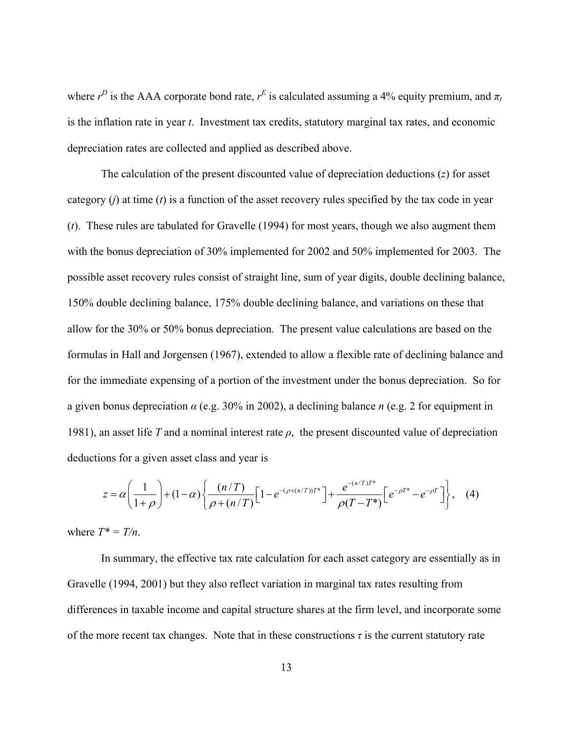where  $r^D$  is the AAA corporate bond rate,  $r^E$  is calculated assuming a 4% equity premium, and  $\pi_t$ is the inflation rate in year *t*. Investment tax credits, statutory marginal tax rates, and economic depreciation rates are collected and applied as described above.

The calculation of the present discounted value of depreciation deductions (*z*) for asset category (*j*) at time (*t*) is a function of the asset recovery rules specified by the tax code in year (*t*). These rules are tabulated for Gravelle (1994) for most years, though we also augment them with the bonus depreciation of 30% implemented for 2002 and 50% implemented for 2003. The possible asset recovery rules consist of straight line, sum of year digits, double declining balance, 150% double declining balance, 175% double declining balance, and variations on these that allow for the 30% or 50% bonus depreciation. The present value calculations are based on the formulas in Hall and Jorgensen (1967), extended to allow a flexible rate of declining balance and for the immediate expensing of a portion of the investment under the bonus depreciation. So for a given bonus depreciation *α* (e.g. 30% in 2002), a declining balance *n* (e.g. 2 for equipment in 1981), an asset life *T* and a nominal interest rate  $\rho$ , the present discounted value of depreciation deductions for a given asset class and year is

$$
z = \alpha \left(\frac{1}{1+\rho}\right) + (1-\alpha) \left\{ \frac{(n/T)}{\rho + (n/T)} \left[1 - e^{-(\rho + (n/T))T^*}\right] + \frac{e^{-(n/T)T^*}}{\rho(T - T^*)} \left[e^{-\rho T^*} - e^{-\rho T}\right] \right\}, \quad (4)
$$

where  $T^* = T/n$ .

In summary, the effective tax rate calculation for each asset category are essentially as in Gravelle (1994, 2001) but they also reflect variation in marginal tax rates resulting from differences in taxable income and capital structure shares at the firm level, and incorporate some of the more recent tax changes. Note that in these constructions *τ* is the current statutory rate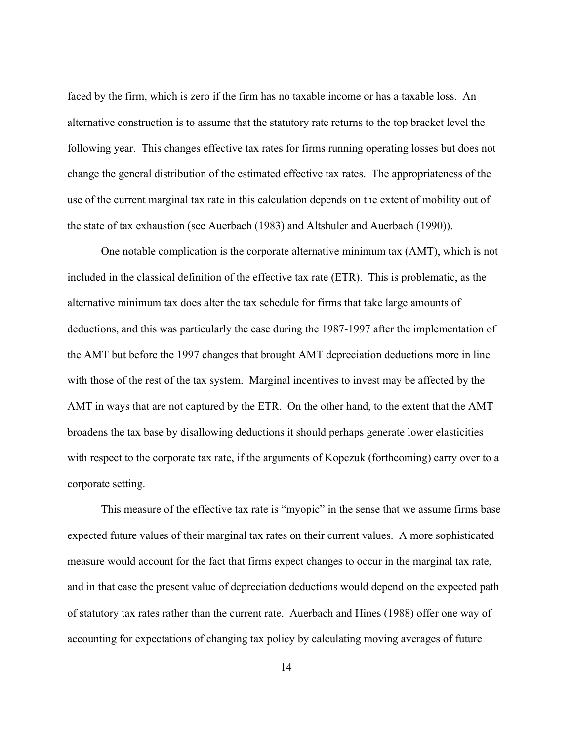faced by the firm, which is zero if the firm has no taxable income or has a taxable loss. An alternative construction is to assume that the statutory rate returns to the top bracket level the following year. This changes effective tax rates for firms running operating losses but does not change the general distribution of the estimated effective tax rates. The appropriateness of the use of the current marginal tax rate in this calculation depends on the extent of mobility out of the state of tax exhaustion (see Auerbach (1983) and Altshuler and Auerbach (1990)).

One notable complication is the corporate alternative minimum tax (AMT), which is not included in the classical definition of the effective tax rate (ETR). This is problematic, as the alternative minimum tax does alter the tax schedule for firms that take large amounts of deductions, and this was particularly the case during the 1987-1997 after the implementation of the AMT but before the 1997 changes that brought AMT depreciation deductions more in line with those of the rest of the tax system. Marginal incentives to invest may be affected by the AMT in ways that are not captured by the ETR. On the other hand, to the extent that the AMT broadens the tax base by disallowing deductions it should perhaps generate lower elasticities with respect to the corporate tax rate, if the arguments of Kopczuk (forthcoming) carry over to a corporate setting.

This measure of the effective tax rate is "myopic" in the sense that we assume firms base expected future values of their marginal tax rates on their current values. A more sophisticated measure would account for the fact that firms expect changes to occur in the marginal tax rate, and in that case the present value of depreciation deductions would depend on the expected path of statutory tax rates rather than the current rate. Auerbach and Hines (1988) offer one way of accounting for expectations of changing tax policy by calculating moving averages of future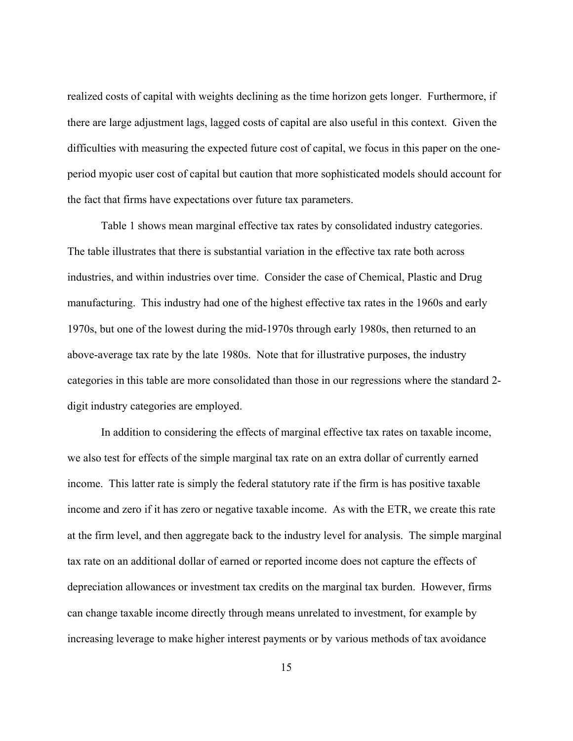realized costs of capital with weights declining as the time horizon gets longer. Furthermore, if there are large adjustment lags, lagged costs of capital are also useful in this context. Given the difficulties with measuring the expected future cost of capital, we focus in this paper on the oneperiod myopic user cost of capital but caution that more sophisticated models should account for the fact that firms have expectations over future tax parameters.

Table 1 shows mean marginal effective tax rates by consolidated industry categories. The table illustrates that there is substantial variation in the effective tax rate both across industries, and within industries over time. Consider the case of Chemical, Plastic and Drug manufacturing. This industry had one of the highest effective tax rates in the 1960s and early 1970s, but one of the lowest during the mid-1970s through early 1980s, then returned to an above-average tax rate by the late 1980s. Note that for illustrative purposes, the industry categories in this table are more consolidated than those in our regressions where the standard 2 digit industry categories are employed.

In addition to considering the effects of marginal effective tax rates on taxable income, we also test for effects of the simple marginal tax rate on an extra dollar of currently earned income. This latter rate is simply the federal statutory rate if the firm is has positive taxable income and zero if it has zero or negative taxable income. As with the ETR, we create this rate at the firm level, and then aggregate back to the industry level for analysis. The simple marginal tax rate on an additional dollar of earned or reported income does not capture the effects of depreciation allowances or investment tax credits on the marginal tax burden. However, firms can change taxable income directly through means unrelated to investment, for example by increasing leverage to make higher interest payments or by various methods of tax avoidance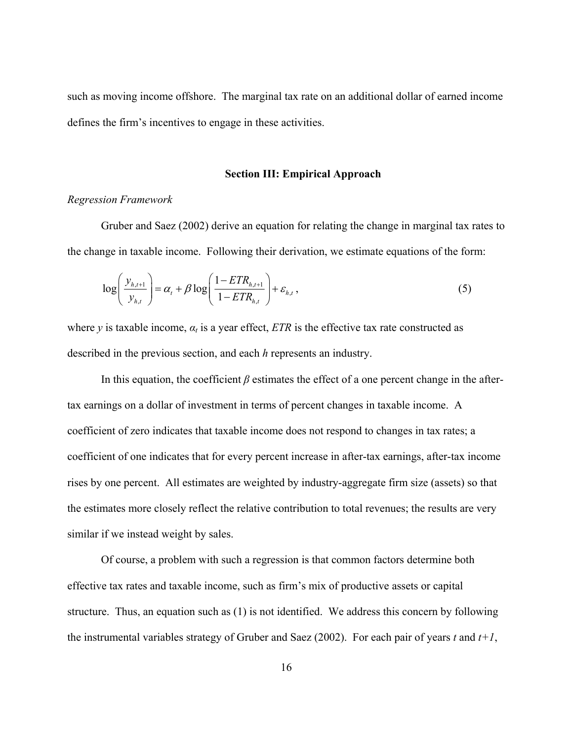such as moving income offshore. The marginal tax rate on an additional dollar of earned income defines the firm's incentives to engage in these activities.

#### **Section III: Empirical Approach**

## *Regression Framework*

Gruber and Saez (2002) derive an equation for relating the change in marginal tax rates to the change in taxable income. Following their derivation, we estimate equations of the form:

$$
\log\left(\frac{y_{h,t+1}}{y_{h,t}}\right) = \alpha_t + \beta \log\left(\frac{1 - ETR_{h,t+1}}{1 - ETR_{h,t}}\right) + \varepsilon_{h,t},\tag{5}
$$

where *y* is taxable income,  $a_t$  is a year effect, *ETR* is the effective tax rate constructed as described in the previous section, and each *h* represents an industry.

In this equation, the coefficient  $\beta$  estimates the effect of a one percent change in the aftertax earnings on a dollar of investment in terms of percent changes in taxable income. A coefficient of zero indicates that taxable income does not respond to changes in tax rates; a coefficient of one indicates that for every percent increase in after-tax earnings, after-tax income rises by one percent. All estimates are weighted by industry-aggregate firm size (assets) so that the estimates more closely reflect the relative contribution to total revenues; the results are very similar if we instead weight by sales.

 Of course, a problem with such a regression is that common factors determine both effective tax rates and taxable income, such as firm's mix of productive assets or capital structure. Thus, an equation such as (1) is not identified. We address this concern by following the instrumental variables strategy of Gruber and Saez (2002). For each pair of years *t* and *t+1*,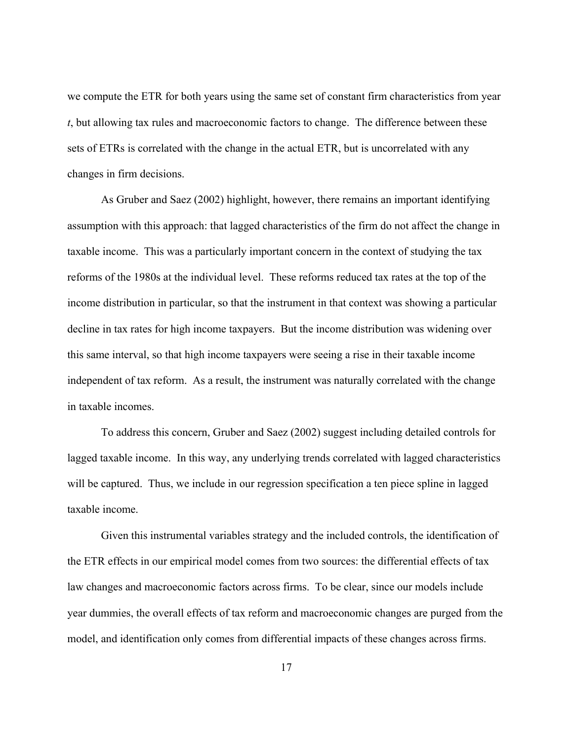we compute the ETR for both years using the same set of constant firm characteristics from year *t*, but allowing tax rules and macroeconomic factors to change. The difference between these sets of ETRs is correlated with the change in the actual ETR, but is uncorrelated with any changes in firm decisions.

 As Gruber and Saez (2002) highlight, however, there remains an important identifying assumption with this approach: that lagged characteristics of the firm do not affect the change in taxable income. This was a particularly important concern in the context of studying the tax reforms of the 1980s at the individual level. These reforms reduced tax rates at the top of the income distribution in particular, so that the instrument in that context was showing a particular decline in tax rates for high income taxpayers. But the income distribution was widening over this same interval, so that high income taxpayers were seeing a rise in their taxable income independent of tax reform. As a result, the instrument was naturally correlated with the change in taxable incomes.

 To address this concern, Gruber and Saez (2002) suggest including detailed controls for lagged taxable income. In this way, any underlying trends correlated with lagged characteristics will be captured. Thus, we include in our regression specification a ten piece spline in lagged taxable income.

 Given this instrumental variables strategy and the included controls, the identification of the ETR effects in our empirical model comes from two sources: the differential effects of tax law changes and macroeconomic factors across firms. To be clear, since our models include year dummies, the overall effects of tax reform and macroeconomic changes are purged from the model, and identification only comes from differential impacts of these changes across firms.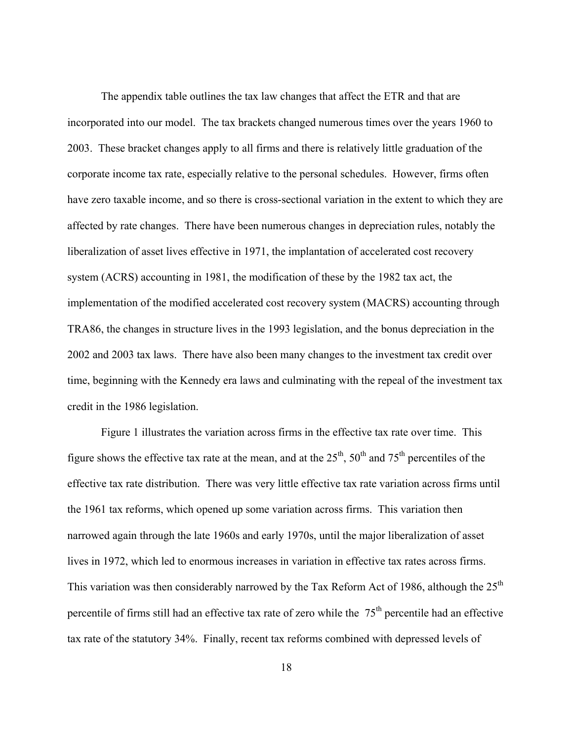The appendix table outlines the tax law changes that affect the ETR and that are incorporated into our model. The tax brackets changed numerous times over the years 1960 to 2003. These bracket changes apply to all firms and there is relatively little graduation of the corporate income tax rate, especially relative to the personal schedules. However, firms often have zero taxable income, and so there is cross-sectional variation in the extent to which they are affected by rate changes. There have been numerous changes in depreciation rules, notably the liberalization of asset lives effective in 1971, the implantation of accelerated cost recovery system (ACRS) accounting in 1981, the modification of these by the 1982 tax act, the implementation of the modified accelerated cost recovery system (MACRS) accounting through TRA86, the changes in structure lives in the 1993 legislation, and the bonus depreciation in the 2002 and 2003 tax laws. There have also been many changes to the investment tax credit over time, beginning with the Kennedy era laws and culminating with the repeal of the investment tax credit in the 1986 legislation.

Figure 1 illustrates the variation across firms in the effective tax rate over time. This figure shows the effective tax rate at the mean, and at the  $25<sup>th</sup>$ ,  $50<sup>th</sup>$  and  $75<sup>th</sup>$  percentiles of the effective tax rate distribution. There was very little effective tax rate variation across firms until the 1961 tax reforms, which opened up some variation across firms. This variation then narrowed again through the late 1960s and early 1970s, until the major liberalization of asset lives in 1972, which led to enormous increases in variation in effective tax rates across firms. This variation was then considerably narrowed by the Tax Reform Act of 1986, although the  $25<sup>th</sup>$ percentile of firms still had an effective tax rate of zero while the 75<sup>th</sup> percentile had an effective tax rate of the statutory 34%. Finally, recent tax reforms combined with depressed levels of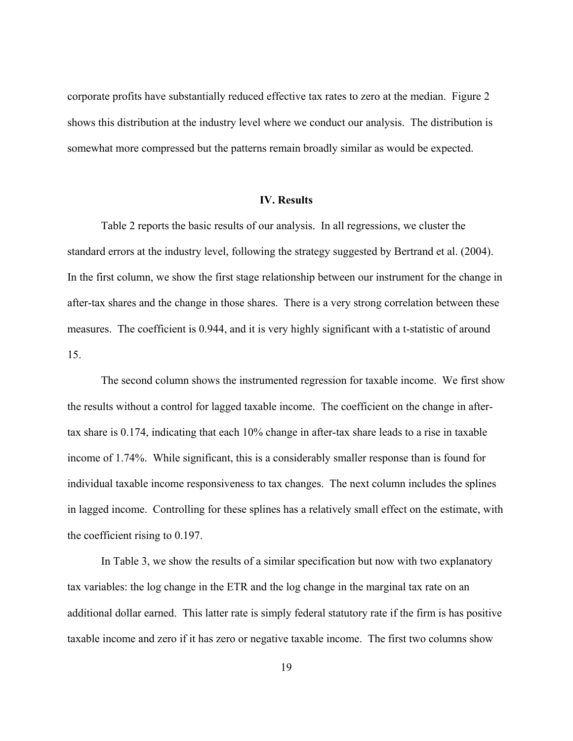corporate profits have substantially reduced effective tax rates to zero at the median. Figure 2 shows this distribution at the industry level where we conduct our analysis. The distribution is somewhat more compressed but the patterns remain broadly similar as would be expected.

## **IV. Results**

 Table 2 reports the basic results of our analysis. In all regressions, we cluster the standard errors at the industry level, following the strategy suggested by Bertrand et al. (2004). In the first column, we show the first stage relationship between our instrument for the change in after-tax shares and the change in those shares. There is a very strong correlation between these measures. The coefficient is 0.944, and it is very highly significant with a t-statistic of around 15.

 The second column shows the instrumented regression for taxable income. We first show the results without a control for lagged taxable income. The coefficient on the change in aftertax share is 0.174, indicating that each 10% change in after-tax share leads to a rise in taxable income of 1.74%. While significant, this is a considerably smaller response than is found for individual taxable income responsiveness to tax changes. The next column includes the splines in lagged income. Controlling for these splines has a relatively small effect on the estimate, with the coefficient rising to 0.197.

 In Table 3, we show the results of a similar specification but now with two explanatory tax variables: the log change in the ETR and the log change in the marginal tax rate on an additional dollar earned. This latter rate is simply federal statutory rate if the firm is has positive taxable income and zero if it has zero or negative taxable income. The first two columns show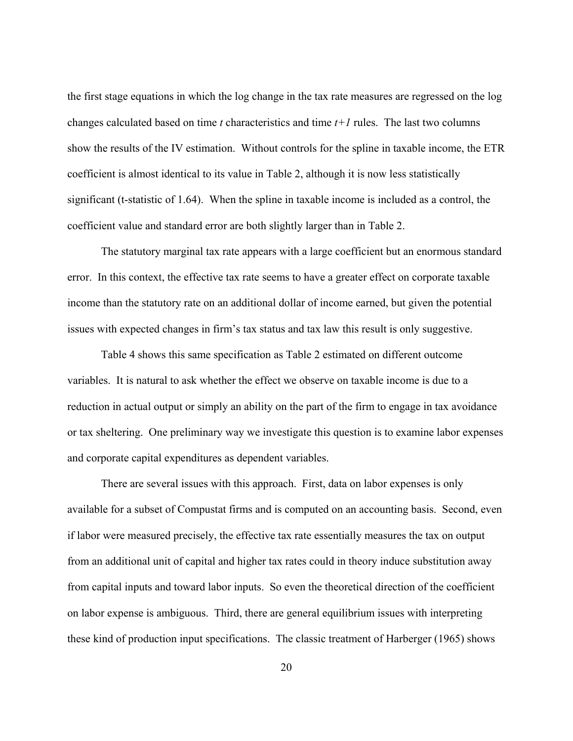the first stage equations in which the log change in the tax rate measures are regressed on the log changes calculated based on time *t* characteristics and time *t+1* rules. The last two columns show the results of the IV estimation. Without controls for the spline in taxable income, the ETR coefficient is almost identical to its value in Table 2, although it is now less statistically significant (t-statistic of 1.64). When the spline in taxable income is included as a control, the coefficient value and standard error are both slightly larger than in Table 2.

 The statutory marginal tax rate appears with a large coefficient but an enormous standard error. In this context, the effective tax rate seems to have a greater effect on corporate taxable income than the statutory rate on an additional dollar of income earned, but given the potential issues with expected changes in firm's tax status and tax law this result is only suggestive.

 Table 4 shows this same specification as Table 2 estimated on different outcome variables. It is natural to ask whether the effect we observe on taxable income is due to a reduction in actual output or simply an ability on the part of the firm to engage in tax avoidance or tax sheltering. One preliminary way we investigate this question is to examine labor expenses and corporate capital expenditures as dependent variables.

There are several issues with this approach. First, data on labor expenses is only available for a subset of Compustat firms and is computed on an accounting basis. Second, even if labor were measured precisely, the effective tax rate essentially measures the tax on output from an additional unit of capital and higher tax rates could in theory induce substitution away from capital inputs and toward labor inputs. So even the theoretical direction of the coefficient on labor expense is ambiguous. Third, there are general equilibrium issues with interpreting these kind of production input specifications. The classic treatment of Harberger (1965) shows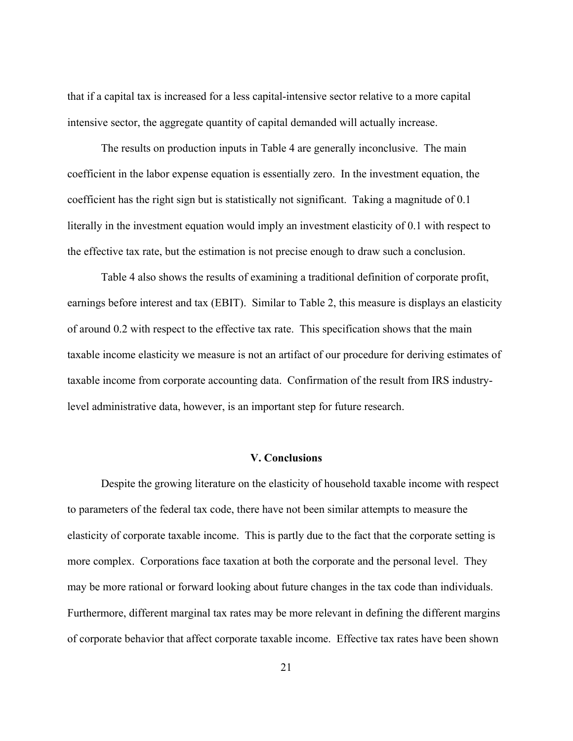that if a capital tax is increased for a less capital-intensive sector relative to a more capital intensive sector, the aggregate quantity of capital demanded will actually increase.

The results on production inputs in Table 4 are generally inconclusive. The main coefficient in the labor expense equation is essentially zero. In the investment equation, the coefficient has the right sign but is statistically not significant. Taking a magnitude of 0.1 literally in the investment equation would imply an investment elasticity of 0.1 with respect to the effective tax rate, but the estimation is not precise enough to draw such a conclusion.

Table 4 also shows the results of examining a traditional definition of corporate profit, earnings before interest and tax (EBIT). Similar to Table 2, this measure is displays an elasticity of around 0.2 with respect to the effective tax rate. This specification shows that the main taxable income elasticity we measure is not an artifact of our procedure for deriving estimates of taxable income from corporate accounting data. Confirmation of the result from IRS industrylevel administrative data, however, is an important step for future research.

# **V. Conclusions**

Despite the growing literature on the elasticity of household taxable income with respect to parameters of the federal tax code, there have not been similar attempts to measure the elasticity of corporate taxable income. This is partly due to the fact that the corporate setting is more complex. Corporations face taxation at both the corporate and the personal level. They may be more rational or forward looking about future changes in the tax code than individuals. Furthermore, different marginal tax rates may be more relevant in defining the different margins of corporate behavior that affect corporate taxable income. Effective tax rates have been shown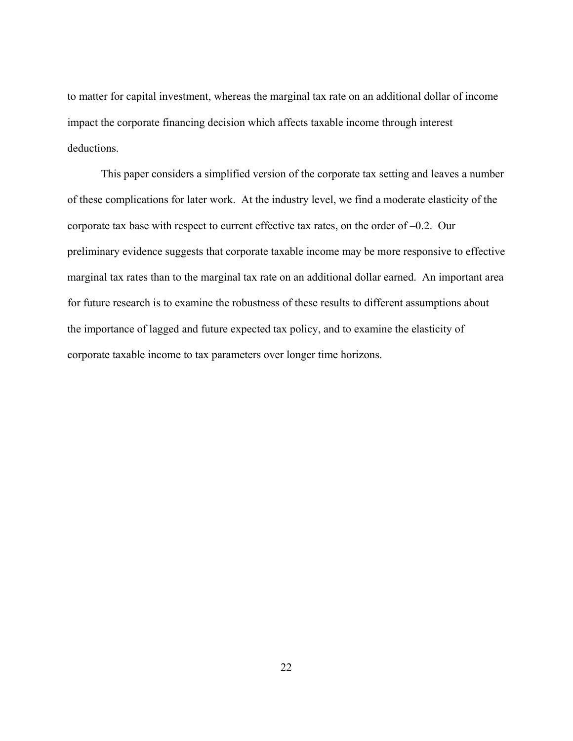to matter for capital investment, whereas the marginal tax rate on an additional dollar of income impact the corporate financing decision which affects taxable income through interest deductions.

This paper considers a simplified version of the corporate tax setting and leaves a number of these complications for later work. At the industry level, we find a moderate elasticity of the corporate tax base with respect to current effective tax rates, on the order of –0.2. Our preliminary evidence suggests that corporate taxable income may be more responsive to effective marginal tax rates than to the marginal tax rate on an additional dollar earned. An important area for future research is to examine the robustness of these results to different assumptions about the importance of lagged and future expected tax policy, and to examine the elasticity of corporate taxable income to tax parameters over longer time horizons.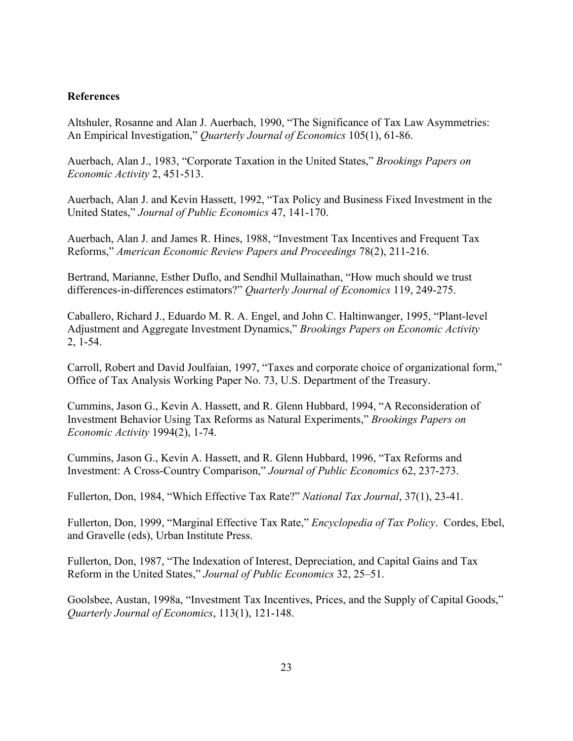# **References**

Altshuler, Rosanne and Alan J. Auerbach, 1990, "The Significance of Tax Law Asymmetries: An Empirical Investigation," *Quarterly Journal of Economics* 105(1), 61-86.

Auerbach, Alan J., 1983, "Corporate Taxation in the United States," *Brookings Papers on Economic Activity* 2, 451-513.

Auerbach, Alan J. and Kevin Hassett, 1992, "Tax Policy and Business Fixed Investment in the United States," *Journal of Public Economics* 47, 141-170.

Auerbach, Alan J. and James R. Hines, 1988, "Investment Tax Incentives and Frequent Tax Reforms," *American Economic Review Papers and Proceedings* 78(2), 211-216.

Bertrand, Marianne, Esther Duflo, and Sendhil Mullainathan, "How much should we trust differences-in-differences estimators?" *Quarterly Journal of Economics* 119, 249-275.

Caballero, Richard J., Eduardo M. R. A. Engel, and John C. Haltinwanger, 1995, "Plant-level Adjustment and Aggregate Investment Dynamics," *Brookings Papers on Economic Activity* 2, 1-54.

Carroll, Robert and David Joulfaian, 1997, "Taxes and corporate choice of organizational form," Office of Tax Analysis Working Paper No. 73, U.S. Department of the Treasury.

Cummins, Jason G., Kevin A. Hassett, and R. Glenn Hubbard, 1994, "A Reconsideration of Investment Behavior Using Tax Reforms as Natural Experiments," *Brookings Papers on Economic Activity* 1994(2), 1-74.

Cummins, Jason G., Kevin A. Hassett, and R. Glenn Hubbard, 1996, "Tax Reforms and Investment: A Cross-Country Comparison," *Journal of Public Economics* 62, 237-273.

Fullerton, Don, 1984, "Which Effective Tax Rate?" *National Tax Journal*, 37(1), 23-41.

Fullerton, Don, 1999, "Marginal Effective Tax Rate," *Encyclopedia of Tax Policy*. Cordes, Ebel, and Gravelle (eds), Urban Institute Press.

Fullerton, Don, 1987, "The Indexation of Interest, Depreciation, and Capital Gains and Tax Reform in the United States," *Journal of Public Economics* 32, 25–51.

Goolsbee, Austan, 1998a, "Investment Tax Incentives, Prices, and the Supply of Capital Goods," *Quarterly Journal of Economics*, 113(1), 121-148.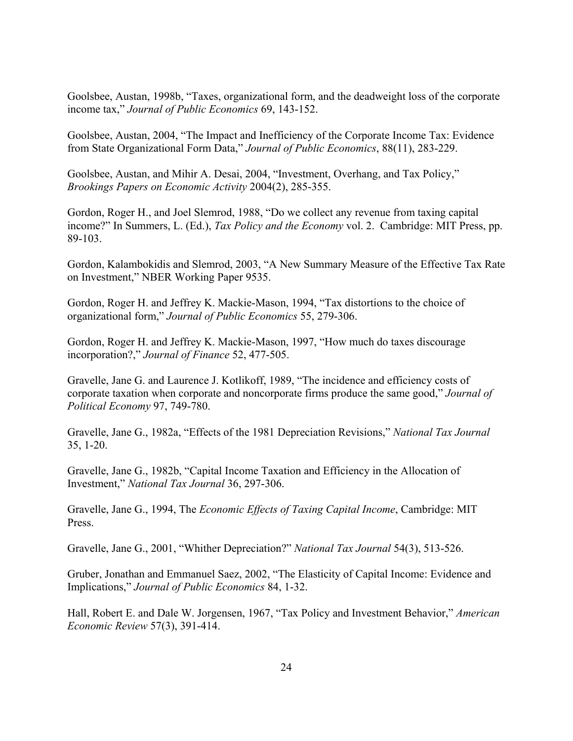Goolsbee, Austan, 1998b, "Taxes, organizational form, and the deadweight loss of the corporate income tax," *Journal of Public Economics* 69, 143-152.

Goolsbee, Austan, 2004, "The Impact and Inefficiency of the Corporate Income Tax: Evidence from State Organizational Form Data," *Journal of Public Economics*, 88(11), 283-229.

Goolsbee, Austan, and Mihir A. Desai, 2004, "Investment, Overhang, and Tax Policy," *Brookings Papers on Economic Activity* 2004(2), 285-355.

Gordon, Roger H., and Joel Slemrod, 1988, "Do we collect any revenue from taxing capital income?" In Summers, L. (Ed.), *Tax Policy and the Economy* vol. 2. Cambridge: MIT Press, pp. 89-103.

Gordon, Kalambokidis and Slemrod, 2003, "A New Summary Measure of the Effective Tax Rate on Investment," NBER Working Paper 9535.

Gordon, Roger H. and Jeffrey K. Mackie-Mason, 1994, "Tax distortions to the choice of organizational form," *Journal of Public Economics* 55, 279-306.

Gordon, Roger H. and Jeffrey K. Mackie-Mason, 1997, "How much do taxes discourage incorporation?," *Journal of Finance* 52, 477-505.

Gravelle, Jane G. and Laurence J. Kotlikoff, 1989, "The incidence and efficiency costs of corporate taxation when corporate and noncorporate firms produce the same good," *Journal of Political Economy* 97, 749-780.

Gravelle, Jane G., 1982a, "Effects of the 1981 Depreciation Revisions," *National Tax Journal* 35, 1-20.

Gravelle, Jane G., 1982b, "Capital Income Taxation and Efficiency in the Allocation of Investment," *National Tax Journal* 36, 297-306.

Gravelle, Jane G., 1994, The *Economic Effects of Taxing Capital Income*, Cambridge: MIT Press.

Gravelle, Jane G., 2001, "Whither Depreciation?" *National Tax Journal* 54(3), 513-526.

Gruber, Jonathan and Emmanuel Saez, 2002, "The Elasticity of Capital Income: Evidence and Implications," *Journal of Public Economics* 84, 1-32.

Hall, Robert E. and Dale W. Jorgensen, 1967, "Tax Policy and Investment Behavior," *American Economic Review* 57(3), 391-414.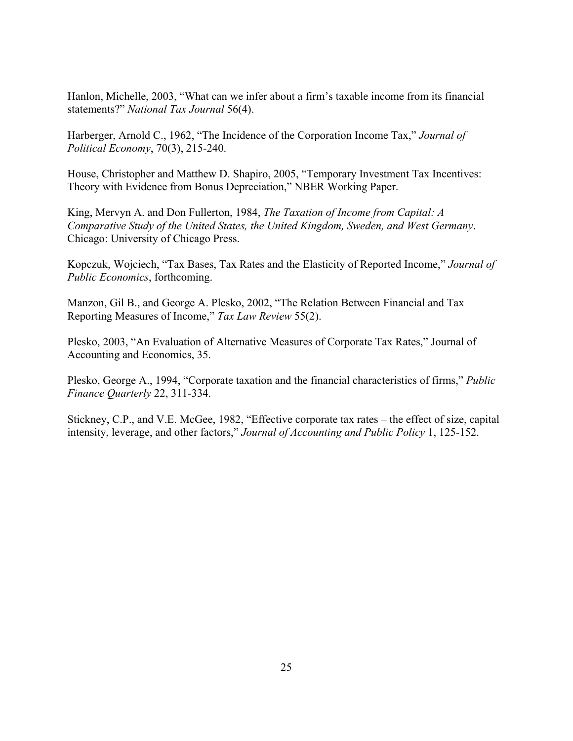Hanlon, Michelle, 2003, "What can we infer about a firm's taxable income from its financial statements?" *National Tax Journal* 56(4).

Harberger, Arnold C., 1962, "The Incidence of the Corporation Income Tax," *Journal of Political Economy*, 70(3), 215-240.

House, Christopher and Matthew D. Shapiro, 2005, "Temporary Investment Tax Incentives: Theory with Evidence from Bonus Depreciation," NBER Working Paper.

King, Mervyn A. and Don Fullerton, 1984, *The Taxation of Income from Capital: A Comparative Study of the United States, the United Kingdom, Sweden, and West Germany*. Chicago: University of Chicago Press.

Kopczuk, Wojciech, "Tax Bases, Tax Rates and the Elasticity of Reported Income," *Journal of Public Economics*, forthcoming.

Manzon, Gil B., and George A. Plesko, 2002, "The Relation Between Financial and Tax Reporting Measures of Income," *Tax Law Review* 55(2).

Plesko, 2003, "An Evaluation of Alternative Measures of Corporate Tax Rates," Journal of Accounting and Economics, 35.

Plesko, George A., 1994, "Corporate taxation and the financial characteristics of firms," *Public Finance Quarterly* 22, 311-334.

Stickney, C.P., and V.E. McGee, 1982, "Effective corporate tax rates – the effect of size, capital intensity, leverage, and other factors," *Journal of Accounting and Public Policy* 1, 125-152.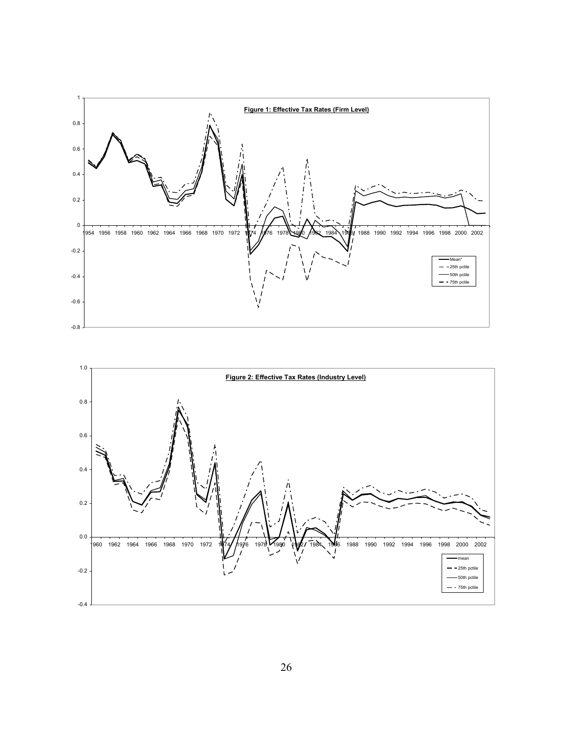

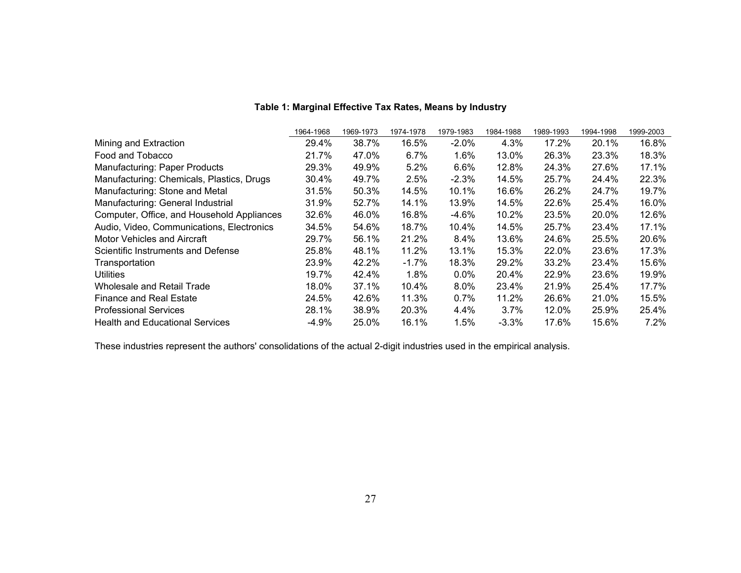|                                            | 1964-1968 | 1969-1973 | 1974-1978 | 1979-1983 | 1984-1988 | 1989-1993 | 1994-1998 | 1999-2003 |
|--------------------------------------------|-----------|-----------|-----------|-----------|-----------|-----------|-----------|-----------|
| Mining and Extraction                      | 29.4%     | 38.7%     | 16.5%     | $-2.0\%$  | 4.3%      | 17.2%     | 20.1%     | 16.8%     |
| Food and Tobacco                           | 21.7%     | 47.0%     | $6.7\%$   | 1.6%      | 13.0%     | 26.3%     | 23.3%     | 18.3%     |
| <b>Manufacturing: Paper Products</b>       | 29.3%     | 49.9%     | 5.2%      | 6.6%      | 12.8%     | 24.3%     | 27.6%     | 17.1%     |
| Manufacturing: Chemicals, Plastics, Drugs  | 30.4%     | 49.7%     | 2.5%      | $-2.3%$   | 14.5%     | 25.7%     | 24.4%     | 22.3%     |
| Manufacturing: Stone and Metal             | 31.5%     | 50.3%     | 14.5%     | 10.1%     | 16.6%     | 26.2%     | 24.7%     | 19.7%     |
| Manufacturing: General Industrial          | 31.9%     | 52.7%     | 14.1%     | 13.9%     | 14.5%     | 22.6%     | 25.4%     | 16.0%     |
| Computer, Office, and Household Appliances | 32.6%     | 46.0%     | 16.8%     | $-4.6%$   | 10.2%     | 23.5%     | 20.0%     | 12.6%     |
| Audio, Video, Communications, Electronics  | 34.5%     | 54.6%     | 18.7%     | 10.4%     | 14.5%     | 25.7%     | 23.4%     | 17.1%     |
| Motor Vehicles and Aircraft                | 29.7%     | 56.1%     | 21.2%     | $8.4\%$   | 13.6%     | 24.6%     | 25.5%     | 20.6%     |
| Scientific Instruments and Defense         | 25.8%     | 48.1%     | 11.2%     | 13.1%     | 15.3%     | 22.0%     | 23.6%     | 17.3%     |
| Transportation                             | 23.9%     | 42.2%     | $-1.7\%$  | 18.3%     | 29.2%     | 33.2%     | 23.4%     | 15.6%     |
| <b>Utilities</b>                           | 19.7%     | 42.4%     | 1.8%      | $0.0\%$   | 20.4%     | 22.9%     | 23.6%     | 19.9%     |
| <b>Wholesale and Retail Trade</b>          | 18.0%     | 37.1%     | 10.4%     | $8.0\%$   | 23.4%     | 21.9%     | 25.4%     | 17.7%     |
| <b>Finance and Real Estate</b>             | 24.5%     | 42.6%     | 11.3%     | 0.7%      | 11.2%     | 26.6%     | 21.0%     | 15.5%     |
| <b>Professional Services</b>               | 28.1%     | 38.9%     | 20.3%     | 4.4%      | 3.7%      | 12.0%     | 25.9%     | 25.4%     |
| <b>Health and Educational Services</b>     | $-4.9%$   | 25.0%     | 16.1%     | 1.5%      | $-3.3%$   | 17.6%     | 15.6%     | 7.2%      |

# **Table 1: Marginal Effective Tax Rates, Means by Industry**

These industries represent the authors' consolidations of the actual 2-digit industries used in the empirical analysis.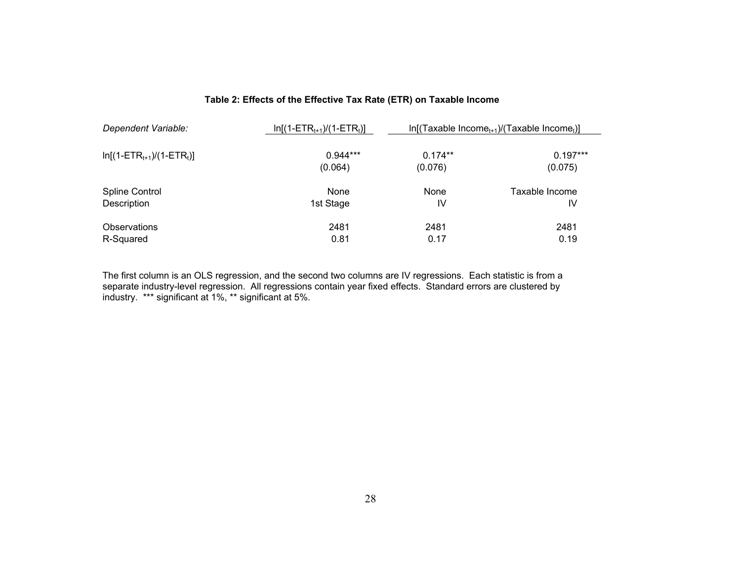# **Table 2: Effects of the Effective Tax Rate (ETR) on Taxable Income**

| Dependent Variable:           | $In[(1-ETR_{t+1})/(1-ETR_t)]$ | $In[(Taxable Incomet+1)/(Taxable Incomet)]$ |                |  |  |
|-------------------------------|-------------------------------|---------------------------------------------|----------------|--|--|
|                               |                               |                                             |                |  |  |
| $In[(1-ETR_{t+1})/(1-ETR_t)]$ | $0.944***$                    | $0.174**$                                   | $0.197***$     |  |  |
|                               | (0.064)                       | (0.076)                                     | (0.075)        |  |  |
| <b>Spline Control</b>         | None                          | None                                        | Taxable Income |  |  |
| Description                   | 1st Stage                     | IV                                          | IV             |  |  |
| Observations                  | 2481                          | 2481                                        | 2481           |  |  |
| R-Squared                     | 0.81                          | 0.17                                        | 0.19           |  |  |

The first column is an OLS regression, and the second two columns are IV regressions. Each statistic is from a separate industry-level regression. All regressions contain year fixed effects. Standard errors are clustered by industry. \*\*\* significant at 1%, \*\* significant at 5%.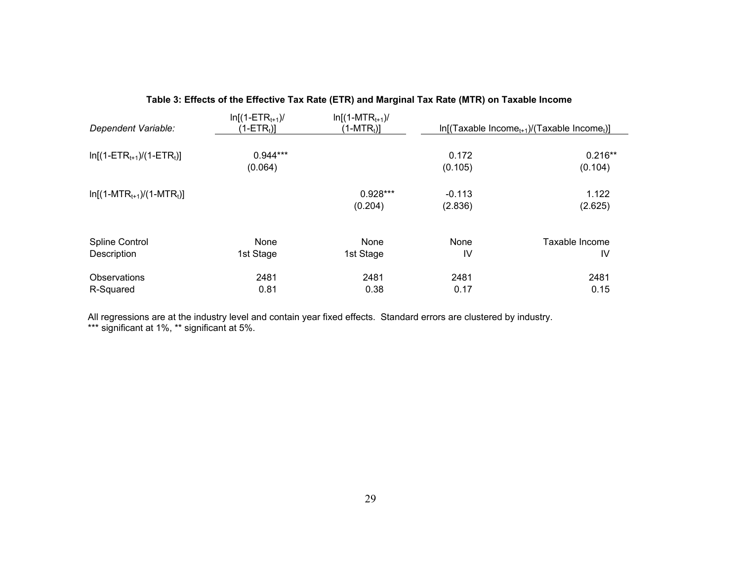| Dependent Variable:                  | $In[(1-ETRt+1)$ /<br>$(1 - ETR_t)$ | $In[(1-MTRt+1)$ /<br>$(1-MTR_t)]$ |                     | $In[(Taxable Income_{t+1})/(Taxable Income_t)]$ |
|--------------------------------------|------------------------------------|-----------------------------------|---------------------|-------------------------------------------------|
| $In[(1-ETR_{t+1})/(1-ETR_t)]$        | $0.944***$<br>(0.064)              |                                   | 0.172<br>(0.105)    | $0.216**$<br>(0.104)                            |
| $In[(1-MTRt+1)/(1-MTRt)]$            |                                    | $0.928***$<br>(0.204)             | $-0.113$<br>(2.836) | 1.122<br>(2.625)                                |
| <b>Spline Control</b><br>Description | None<br>1st Stage                  | None<br>1st Stage                 | None<br>IV          | Taxable Income<br>IV                            |
| Observations<br>R-Squared            | 2481<br>0.81                       | 2481<br>0.38                      | 2481<br>0.17        | 2481<br>0.15                                    |

**Table 3: Effects of the Effective Tax Rate (ETR) and Marginal Tax Rate (MTR) on Taxable Income** 

All regressions are at the industry level and contain year fixed effects. Standard errors are clustered by industry. \*\*\* significant at 1%, \*\* significant at 5%.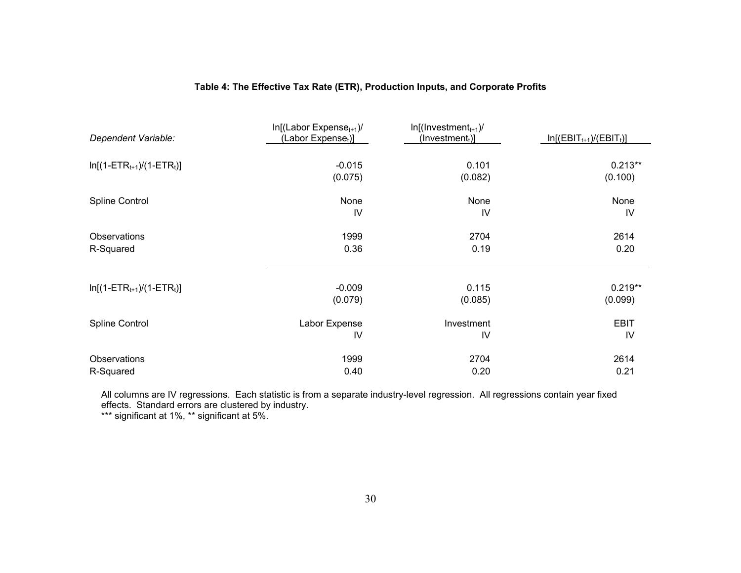| Dependent Variable:           | $In[(Labor Expenset+1)$<br>(Labor Expense <sub>t</sub> )] | $In[(Investment_{t+1})]$<br>$(Investmentt)$ ] | $In[(EBITt+1)/(EBITt)]$ |
|-------------------------------|-----------------------------------------------------------|-----------------------------------------------|-------------------------|
| $In[(1-ETR_{t+1})/(1-ETR_t)]$ | $-0.015$                                                  | 0.101                                         | $0.213**$               |
|                               | (0.075)                                                   | (0.082)                                       | (0.100)                 |
| <b>Spline Control</b>         | None                                                      | None                                          | None                    |
|                               | IV                                                        | IV                                            | IV                      |
| Observations                  | 1999                                                      | 2704                                          | 2614                    |
| R-Squared                     | 0.36                                                      | 0.19                                          | 0.20                    |
| $In[(1-ETR_{t+1})/(1-ETR_t)]$ | $-0.009$                                                  | 0.115                                         | $0.219**$               |
|                               | (0.079)                                                   | (0.085)                                       | (0.099)                 |
| <b>Spline Control</b>         | Labor Expense                                             | Investment                                    | <b>EBIT</b>             |
|                               | IV                                                        | IV                                            | IV                      |
| Observations                  | 1999                                                      | 2704                                          | 2614                    |
| R-Squared                     | 0.40                                                      | 0.20                                          | 0.21                    |

# **Table 4: The Effective Tax Rate (ETR), Production Inputs, and Corporate Profits**

All columns are IV regressions. Each statistic is from a separate industry-level regression. All regressions contain year fixed effects. Standard errors are clustered by industry.

\*\*\* significant at 1%, \*\* significant at 5%.